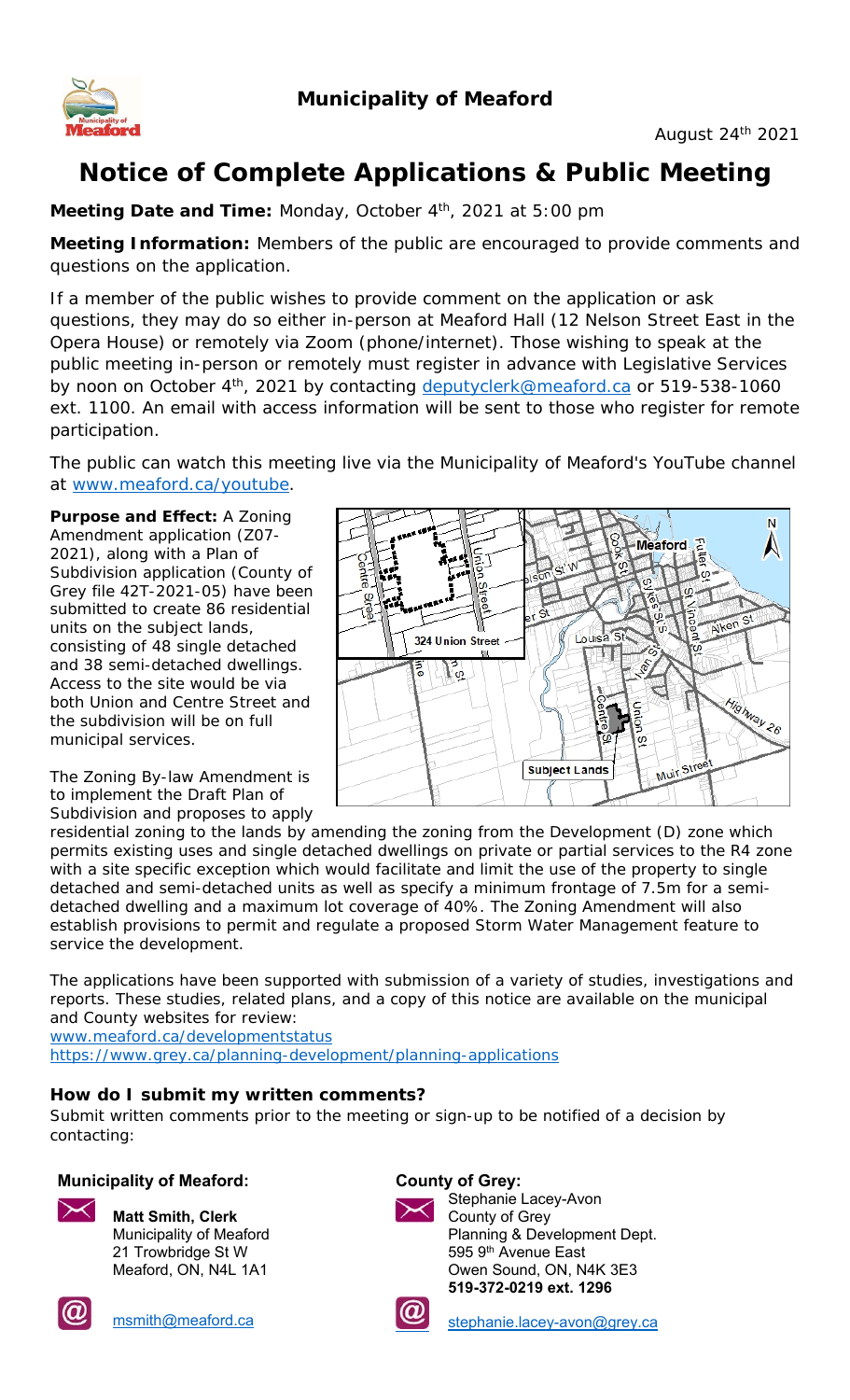

# **Notice of Complete Applications & Public Meeting**

**Meeting Date and Time:** Monday, October 4<sup>th</sup>, 2021 at 5:00 pm

**Meeting Information:** Members of the public are encouraged to provide comments and questions on the application.

If a member of the public wishes to provide comment on the application or ask questions, they may do so either in-person at Meaford Hall (12 Nelson Street East in the Opera House) or remotely via Zoom (phone/internet). Those wishing to speak at the public meeting in-person or remotely must register in advance with Legislative Services by noon on October 4<sup>th</sup>, 2021 by contacting deputyclerk@meaford.ca or 519-538-1060 ext. 1100. An email with access information will be sent to those who register for remote participation.

The public can watch this meeting live via the Municipality of Meaford's YouTube channel at www.meaford.ca/youtube.

**Purpose and Effect:** A Zoning Amendment application (Z07- 2021), along with a Plan of Subdivision application (County of Grey file 42T-2021-05) have been submitted to create 86 residential units on the subject lands, consisting of 48 single detached and 38 semi-detached dwellings. Access to the site would be via both Union and Centre Street and the subdivision will be on full municipal services.

The Zoning By-law Amendment is to implement the Draft Plan of Subdivision and proposes to apply



residential zoning to the lands by amending the zoning from the Development (D) zone which permits existing uses and single detached dwellings on private or partial services to the R4 zone with a site specific exception which would facilitate and limit the use of the property to single detached and semi-detached units as well as specify a minimum frontage of 7.5m for a semidetached dwelling and a maximum lot coverage of 40%. The Zoning Amendment will also establish provisions to permit and regulate a proposed Storm Water Management feature to service the development.

The applications have been supported with submission of a variety of studies, investigations and reports. These studies, related plans, and a copy of this notice are available on the municipal and County websites for review:

www.meaford.ca/developmentstatus

https://www.grey.ca/planning-development/planning-applications

### **How do I submit my written comments?**

Submit written comments prior to the meeting or sign-up to be notified of a decision by contacting:

### **Municipality of Meaford: County of Grey:**



**Matt Smith, Clerk** Municipality of Meaford 21 Trowbridge St W Meaford, ON, N4L 1A1



Stephanie Lacey-Avon County of Grey Planning & Development Dept. 595 9<sup>th</sup> Avenue East Owen Sound, ON, N4K 3E3 **519-372-0219 ext. 1296**



msmith@meaford.ca stephanie.lacey-avon@grey.ca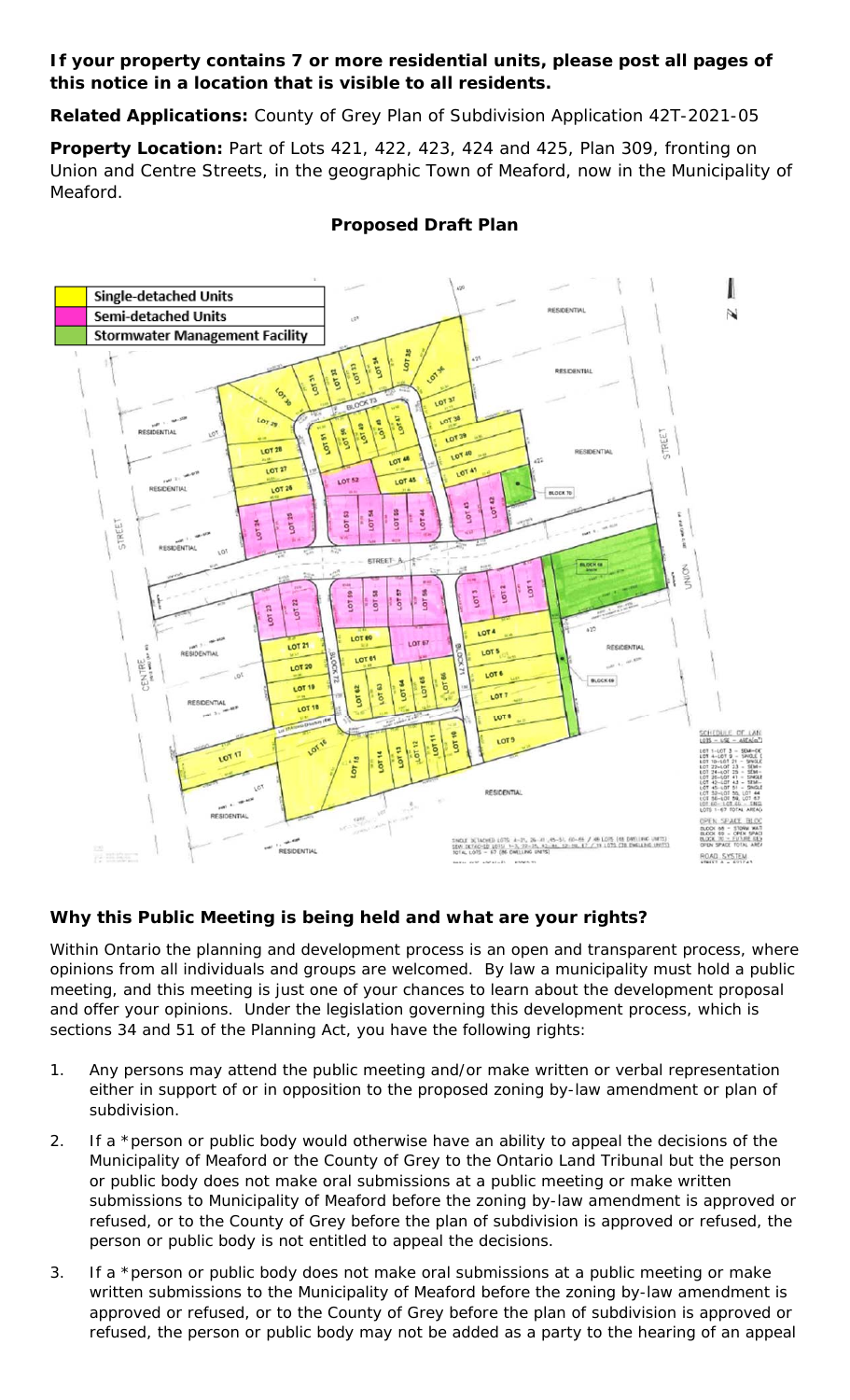### **If your property contains 7 or more residential units, please post all pages of this notice in a location that is visible to all residents.**

**Related Applications:** County of Grey Plan of Subdivision Application 42T-2021-05

**Property Location:** Part of Lots 421, 422, 423, 424 and 425, Plan 309, fronting on Union and Centre Streets, in the geographic Town of Meaford, now in the Municipality of Meaford.



# **Proposed Draft Plan**

## **Why this Public Meeting is being held and what are your rights?**

Within Ontario the planning and development process is an open and transparent process, where opinions from all individuals and groups are welcomed. By law a municipality must hold a public meeting, and this meeting is just one of your chances to learn about the development proposal and offer your opinions. Under the legislation governing this development process, which is sections 34 and 51 of the *Planning Act*, you have the following rights:

- 1. Any persons may attend the public meeting and/or make written or verbal representation either in support of or in opposition to the proposed zoning by-law amendment or plan of subdivision.
- 2. If a *\*person* or public body would otherwise have an ability to appeal the decisions of the Municipality of Meaford or the County of Grey to the Ontario Land Tribunal but the person or public body does not make oral submissions at a public meeting or make written submissions to Municipality of Meaford before the zoning by-law amendment is approved or refused, or to the County of Grey before the plan of subdivision is approved or refused, the person or public body is not entitled to appeal the decisions.
- 3. If a *\*person* or public body does not make oral submissions at a public meeting or make written submissions to the Municipality of Meaford before the zoning by-law amendment is approved or refused, or to the County of Grey before the plan of subdivision is approved or refused, the person or public body may not be added as a party to the hearing of an appeal